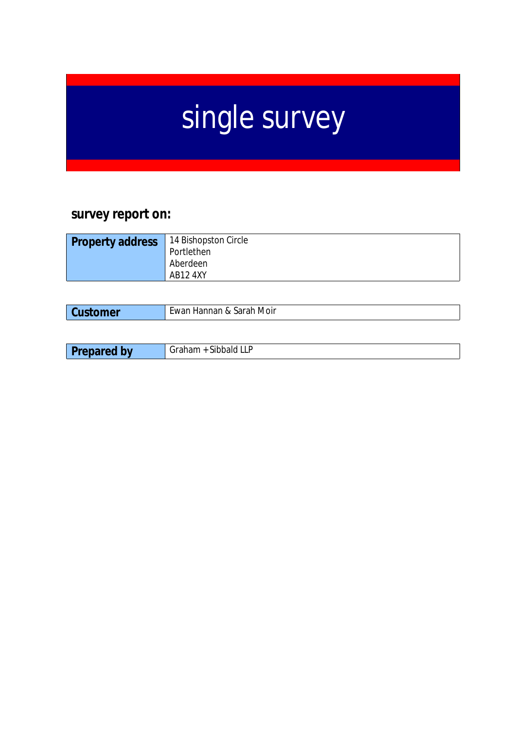# single survey

# **survey report on:**

| <b>Property address</b><br>Aberdeen<br><b>AB12 4XY</b> | 14 Bishopston Circle<br>Portlethen |
|--------------------------------------------------------|------------------------------------|
|                                                        |                                    |

| mer | Ewan Hannan & Sarah Moir |
|-----|--------------------------|
|     |                          |

| ∽<br>$\sim$ 1.0 $\sim$<br>----<br>أحلحته الحاذ<br>hw<br>∵waic<br>ᄂᄂ<br>.<br>$\cdots$ purved<br>__ |
|---------------------------------------------------------------------------------------------------|
|---------------------------------------------------------------------------------------------------|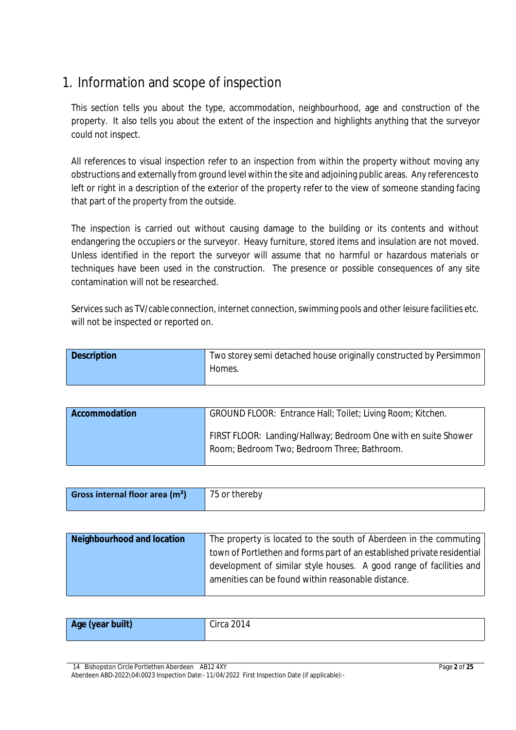# 1. Information and scope of inspection

This section tells you about the type, accommodation, neighbourhood, age and construction of the property. It also tells you about the extent of the inspection and highlights anything that the surveyor could not inspect.

All references to visual inspection refer to an inspection from within the property without moving any obstructions and externally from ground level within the site and adjoining public areas. Any referencesto left or right in a description of the exterior of the property refer to the view of someone standing facing that part of the property from the outside.

The inspection is carried out without causing damage to the building or its contents and without endangering the occupiers or the surveyor. Heavy furniture, stored items and insulation are not moved. Unless identified in the report the surveyor will assume that no harmful or hazardous materials or techniques have been used in the construction. The presence or possible consequences of any site contamination will not be researched.

Services such as TV/cable connection, internet connection, swimming pools and other leisure facilities etc. will not be inspected or reported on.

| <b>Description</b> | Two storey semi detached house originally constructed by Persimmon |
|--------------------|--------------------------------------------------------------------|
|                    | Homes.                                                             |

| Accommodation | GROUND FLOOR: Entrance Hall; Toilet; Living Room; Kitchen.                                                    |
|---------------|---------------------------------------------------------------------------------------------------------------|
|               | FIRST FLOOR: Landing/Hallway; Bedroom One with en suite Shower<br>Room; Bedroom Two; Bedroom Three; Bathroom. |

| Gross internal floor area $(m2)$ | 75 or thereby |
|----------------------------------|---------------|
|                                  |               |

| <b>Neighbourhood and location</b> | The property is located to the south of Aberdeen in the commuting       |
|-----------------------------------|-------------------------------------------------------------------------|
|                                   | town of Portlethen and forms part of an established private residential |
|                                   | development of similar style houses. A good range of facilities and     |
|                                   | amenities can be found within reasonable distance.                      |
|                                   |                                                                         |

| Age (year built)<br>Circ 2 |
|----------------------------|
|----------------------------|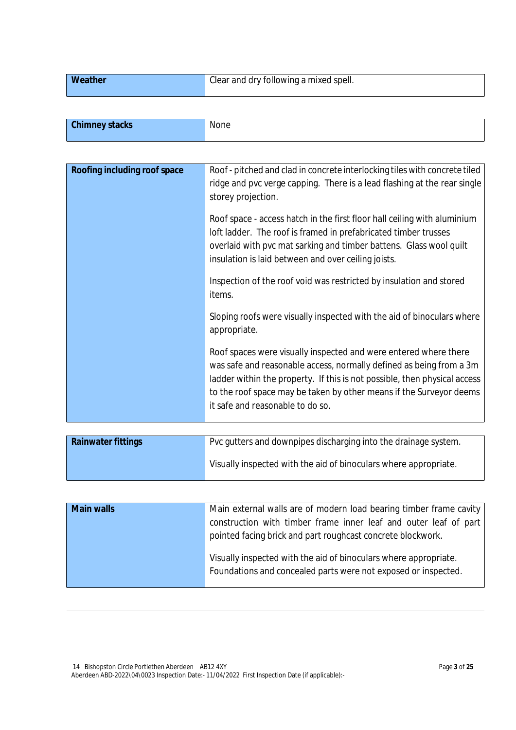| <b>Weather</b><br>Clear and dry following a mixed spell. |  |  |  |
|----------------------------------------------------------|--|--|--|
|----------------------------------------------------------|--|--|--|

| <b>Chimney stacks</b> | None |
|-----------------------|------|
|                       |      |

| Roofing including roof space | Roof - pitched and clad in concrete interlocking tiles with concrete tiled<br>ridge and pvc verge capping. There is a lead flashing at the rear single<br>storey projection.                                                                                                                                                    |
|------------------------------|---------------------------------------------------------------------------------------------------------------------------------------------------------------------------------------------------------------------------------------------------------------------------------------------------------------------------------|
|                              | Roof space - access hatch in the first floor hall ceiling with aluminium<br>loft ladder. The roof is framed in prefabricated timber trusses<br>overlaid with pvc mat sarking and timber battens. Glass wool quilt<br>insulation is laid between and over ceiling joists.                                                        |
|                              | Inspection of the roof void was restricted by insulation and stored<br>items.                                                                                                                                                                                                                                                   |
|                              | Sloping roofs were visually inspected with the aid of binoculars where<br>appropriate.                                                                                                                                                                                                                                          |
|                              | Roof spaces were visually inspected and were entered where there<br>was safe and reasonable access, normally defined as being from a 3m<br>ladder within the property. If this is not possible, then physical access<br>to the roof space may be taken by other means if the Surveyor deems<br>it safe and reasonable to do so. |

| <b>Rainwater fittings</b> | Pvc gutters and downpipes discharging into the drainage system.  |
|---------------------------|------------------------------------------------------------------|
|                           | Visually inspected with the aid of binoculars where appropriate. |

| <b>Main walls</b> | Main external walls are of modern load bearing timber frame cavity |
|-------------------|--------------------------------------------------------------------|
|                   | construction with timber frame inner leaf and outer leaf of part   |
|                   | pointed facing brick and part roughcast concrete blockwork.        |
|                   | Visually inspected with the aid of binoculars where appropriate.   |
|                   | Foundations and concealed parts were not exposed or inspected.     |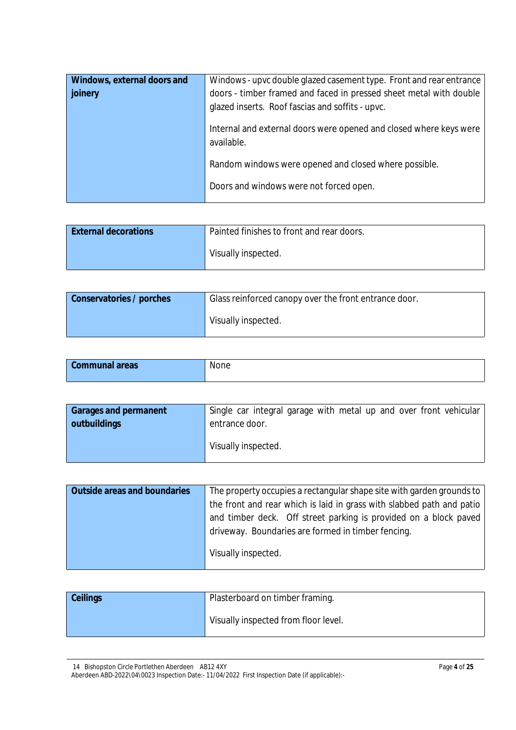| Windows, external doors and | Windows - upvc double glazed casement type. Front and rear entrance |
|-----------------------------|---------------------------------------------------------------------|
| joinery                     | doors - timber framed and faced in pressed sheet metal with double  |
|                             | glazed inserts. Roof fascias and soffits - upvc.                    |
|                             | Internal and external doors were opened and closed where keys were  |
|                             | available.                                                          |
|                             | Random windows were opened and closed where possible.               |
|                             |                                                                     |
|                             | Doors and windows were not forced open.                             |

| <b>External decorations</b> | Painted finishes to front and rear doors. |
|-----------------------------|-------------------------------------------|
|                             | Visually inspected.                       |

| Conservatories / porches | Glass reinforced canopy over the front entrance door. |
|--------------------------|-------------------------------------------------------|
|                          | Visually inspected.                                   |

| <b>Communal areas</b> | None |
|-----------------------|------|
|                       |      |

| <b>Garages and permanent</b> | Single car integral garage with metal up and over front vehicular |
|------------------------------|-------------------------------------------------------------------|
| outbuildings                 | entrance door.                                                    |
|                              | Visually inspected.                                               |

| <b>Outside areas and boundaries</b> | The property occupies a rectangular shape site with garden grounds to |
|-------------------------------------|-----------------------------------------------------------------------|
|                                     | the front and rear which is laid in grass with slabbed path and patio |
|                                     | and timber deck. Off street parking is provided on a block paved      |
|                                     | driveway. Boundaries are formed in timber fencing.                    |
|                                     | Visually inspected.                                                   |

| <b>Ceilings</b> | Plasterboard on timber framing.      |
|-----------------|--------------------------------------|
|                 | Visually inspected from floor level. |

<sup>14</sup> Bishopston Circle Portlethen Aberdeen AB12 4XY Aberdeen ABD-2022\04\0023 Inspection Date:- 11/04/2022 First Inspection Date (if applicable):-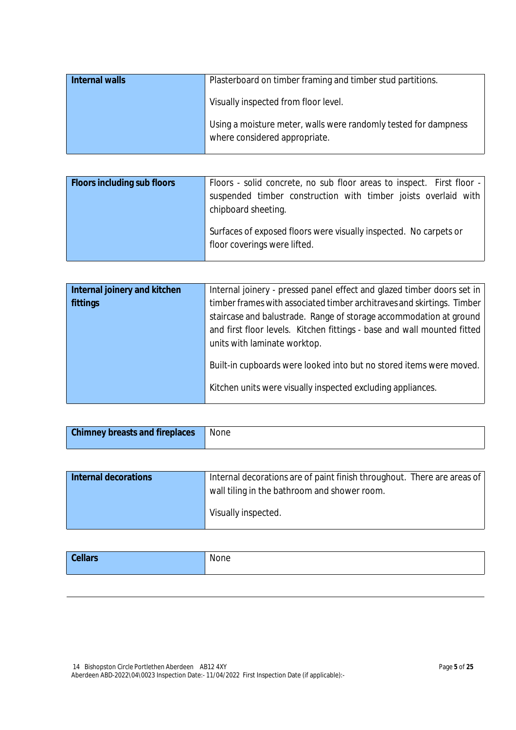| <b>Internal walls</b> | Plasterboard on timber framing and timber stud partitions.                                       |
|-----------------------|--------------------------------------------------------------------------------------------------|
|                       | Visually inspected from floor level.                                                             |
|                       | Using a moisture meter, walls were randomly tested for dampness<br>where considered appropriate. |

| <b>Floors including sub floors</b> | Floors - solid concrete, no sub floor areas to inspect. First floor -<br>suspended timber construction with timber joists overlaid with<br>chipboard sheeting. |
|------------------------------------|----------------------------------------------------------------------------------------------------------------------------------------------------------------|
|                                    | Surfaces of exposed floors were visually inspected. No carpets or<br>floor coverings were lifted.                                                              |

| Internal joinery and kitchen | Internal joinery - pressed panel effect and glazed timber doors set in  |
|------------------------------|-------------------------------------------------------------------------|
| fittings                     | timber frames with associated timber architraves and skirtings. Timber  |
|                              | staircase and balustrade. Range of storage accommodation at ground      |
|                              | and first floor levels. Kitchen fittings - base and wall mounted fitted |
|                              | units with laminate worktop.                                            |
|                              | Built-in cupboards were looked into but no stored items were moved.     |
|                              | Kitchen units were visually inspected excluding appliances.             |
|                              |                                                                         |

| <b>Chimney breasts and fireplaces</b> | None |
|---------------------------------------|------|
|                                       |      |

| <b>Internal decorations</b> | Internal decorations are of paint finish throughout. There are areas of |
|-----------------------------|-------------------------------------------------------------------------|
|                             | wall tiling in the bathroom and shower room.                            |
|                             | Visually inspected.                                                     |

|  | <b>Cellars</b> | None |
|--|----------------|------|
|--|----------------|------|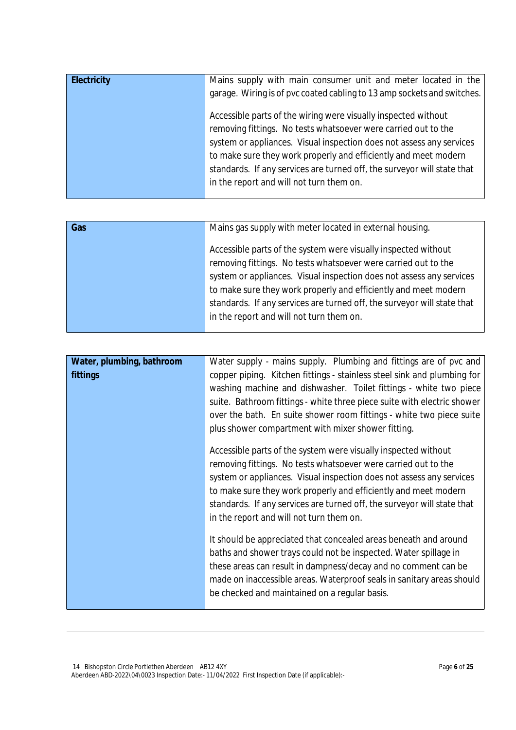| <b>Electricity</b> | Mains supply with main consumer unit and meter located in the           |
|--------------------|-------------------------------------------------------------------------|
|                    | garage. Wiring is of pvc coated cabling to 13 amp sockets and switches. |
|                    | Accessible parts of the wiring were visually inspected without          |
|                    | removing fittings. No tests whatsoever were carried out to the          |
|                    | system or appliances. Visual inspection does not assess any services    |
|                    | to make sure they work properly and efficiently and meet modern         |
|                    | standards. If any services are turned off, the surveyor will state that |
|                    | in the report and will not turn them on.                                |
|                    |                                                                         |

| Gas | Mains gas supply with meter located in external housing.                |
|-----|-------------------------------------------------------------------------|
|     |                                                                         |
|     |                                                                         |
|     | Accessible parts of the system were visually inspected without          |
|     |                                                                         |
|     | removing fittings. No tests whatsoever were carried out to the          |
|     |                                                                         |
|     | system or appliances. Visual inspection does not assess any services    |
|     | to make sure they work properly and efficiently and meet modern         |
|     |                                                                         |
|     | standards. If any services are turned off, the surveyor will state that |
|     |                                                                         |
|     | in the report and will not turn them on.                                |
|     |                                                                         |
|     |                                                                         |

| Water, plumbing, bathroom | Water supply - mains supply. Plumbing and fittings are of pvc and                                                                                                                                                                                                                                                                                                                                  |
|---------------------------|----------------------------------------------------------------------------------------------------------------------------------------------------------------------------------------------------------------------------------------------------------------------------------------------------------------------------------------------------------------------------------------------------|
| fittings                  | copper piping. Kitchen fittings - stainless steel sink and plumbing for<br>washing machine and dishwasher. Toilet fittings - white two piece<br>suite. Bathroom fittings - white three piece suite with electric shower<br>over the bath. En suite shower room fittings - white two piece suite<br>plus shower compartment with mixer shower fitting.                                              |
|                           | Accessible parts of the system were visually inspected without<br>removing fittings. No tests whatsoever were carried out to the<br>system or appliances. Visual inspection does not assess any services<br>to make sure they work properly and efficiently and meet modern<br>standards. If any services are turned off, the surveyor will state that<br>in the report and will not turn them on. |
|                           | It should be appreciated that concealed areas beneath and around<br>baths and shower trays could not be inspected. Water spillage in<br>these areas can result in dampness/decay and no comment can be<br>made on inaccessible areas. Waterproof seals in sanitary areas should<br>be checked and maintained on a regular basis.                                                                   |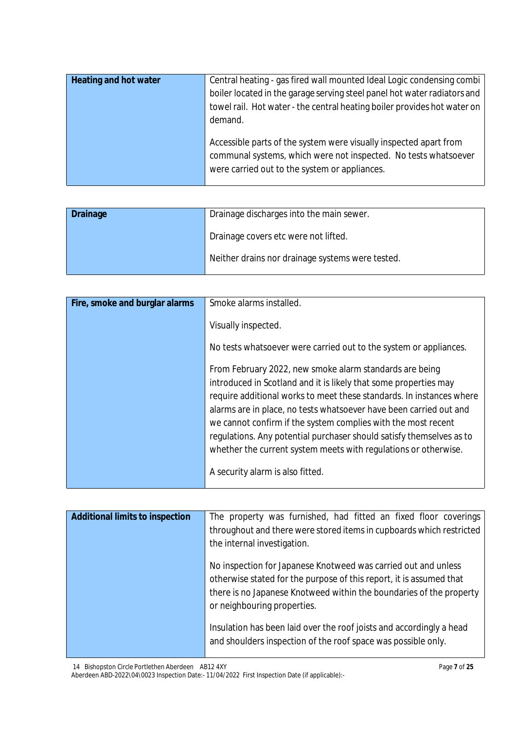| <b>Heating and hot water</b> | Central heating - gas fired wall mounted Ideal Logic condensing combi<br>boiler located in the garage serving steel panel hot water radiators and<br>towel rail. Hot water - the central heating boiler provides hot water on<br>demand. |
|------------------------------|------------------------------------------------------------------------------------------------------------------------------------------------------------------------------------------------------------------------------------------|
|                              | Accessible parts of the system were visually inspected apart from<br>communal systems, which were not inspected. No tests whatsoever<br>were carried out to the system or appliances.                                                    |

| Drainage discharges into the main sewer.<br><b>Drainage</b> |                                                  |
|-------------------------------------------------------------|--------------------------------------------------|
|                                                             | Drainage covers etc were not lifted.             |
|                                                             | Neither drains nor drainage systems were tested. |

| Fire, smoke and burglar alarms | Smoke alarms installed.                                              |
|--------------------------------|----------------------------------------------------------------------|
|                                |                                                                      |
|                                | Visually inspected.                                                  |
|                                |                                                                      |
|                                |                                                                      |
|                                | No tests whatsoever were carried out to the system or appliances.    |
|                                |                                                                      |
|                                |                                                                      |
|                                | From February 2022, new smoke alarm standards are being              |
|                                | introduced in Scotland and it is likely that some properties may     |
|                                |                                                                      |
|                                | require additional works to meet these standards. In instances where |
|                                | alarms are in place, no tests whatsoever have been carried out and   |
|                                |                                                                      |
|                                | we cannot confirm if the system complies with the most recent        |
|                                | regulations. Any potential purchaser should satisfy themselves as to |
|                                |                                                                      |
|                                | whether the current system meets with regulations or otherwise.      |
|                                |                                                                      |
|                                | A security alarm is also fitted.                                     |
|                                |                                                                      |
|                                |                                                                      |

| <b>Additional limits to inspection</b> | The property was furnished, had fitted an fixed floor coverings<br>throughout and there were stored items in cupboards which restricted<br>the internal investigation.                                                                      |
|----------------------------------------|---------------------------------------------------------------------------------------------------------------------------------------------------------------------------------------------------------------------------------------------|
|                                        | No inspection for Japanese Knotweed was carried out and unless<br>otherwise stated for the purpose of this report, it is assumed that<br>there is no Japanese Knotweed within the boundaries of the property<br>or neighbouring properties. |
|                                        | Insulation has been laid over the roof joists and accordingly a head<br>and shoulders inspection of the roof space was possible only.                                                                                                       |

14 Bishopston Circle Portlethen Aberdeen AB12 4XY

Aberdeen ABD-2022\04\0023 Inspection Date:- 11/04/2022 First Inspection Date (if applicable):-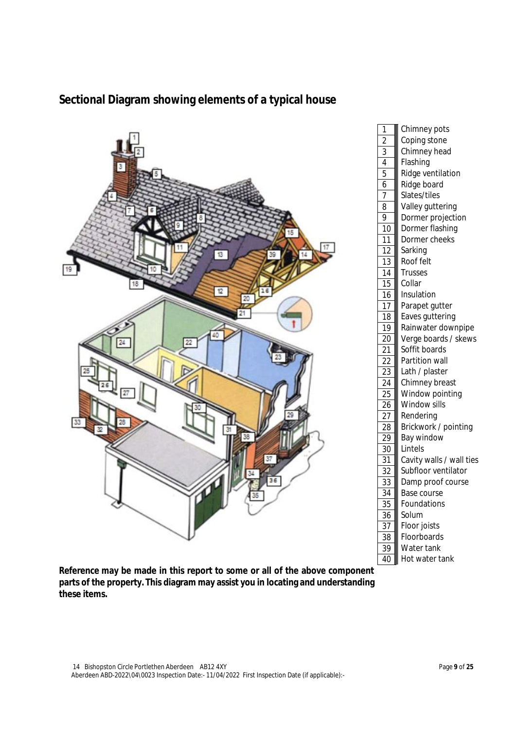

## **Sectional Diagram showing elements of a typical house**

**Reference may be made in this report to some or all of the above component parts of the property. This diagram may assist you in locating and understanding these items.**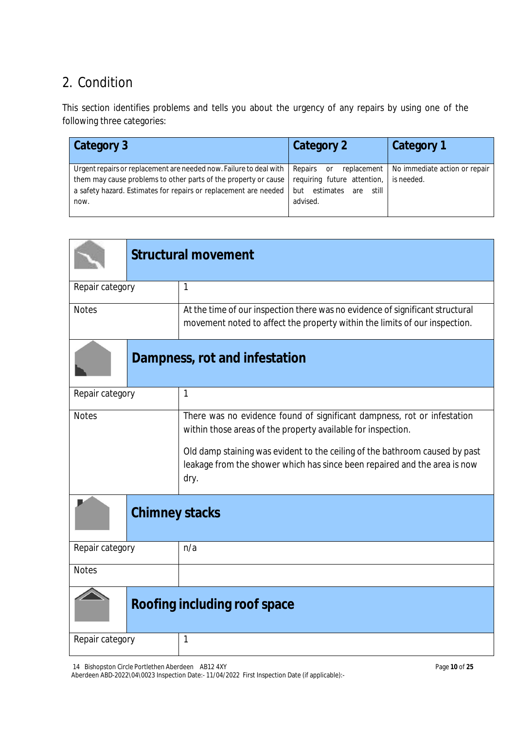# 2. Condition

This section identifies problems and tells you about the urgency of any repairs by using one of the following three categories:

| Category 3                                                                                                                                                                                                          | Category 2                                                                                                    | Category 1                                  |
|---------------------------------------------------------------------------------------------------------------------------------------------------------------------------------------------------------------------|---------------------------------------------------------------------------------------------------------------|---------------------------------------------|
| Urgent repairs or replacement are needed now. Failure to deal with  <br>them may cause problems to other parts of the property or cause<br>a safety hazard. Estimates for repairs or replacement are needed<br>now. | Repairs<br>replacement  <br>or<br>requiring future attention,<br>estimates<br>still<br>but<br>are<br>advised. | No immediate action or repair<br>is needed. |

|                 | <b>Structural movement</b>                                                                                                                                                                                                                                                                                  |  |
|-----------------|-------------------------------------------------------------------------------------------------------------------------------------------------------------------------------------------------------------------------------------------------------------------------------------------------------------|--|
| Repair category | 1                                                                                                                                                                                                                                                                                                           |  |
| <b>Notes</b>    | At the time of our inspection there was no evidence of significant structural<br>movement noted to affect the property within the limits of our inspection.                                                                                                                                                 |  |
|                 | Dampness, rot and infestation                                                                                                                                                                                                                                                                               |  |
| Repair category | 1                                                                                                                                                                                                                                                                                                           |  |
| <b>Notes</b>    | There was no evidence found of significant dampness, rot or infestation<br>within those areas of the property available for inspection.<br>Old damp staining was evident to the ceiling of the bathroom caused by past<br>leakage from the shower which has since been repaired and the area is now<br>dry. |  |
|                 | <b>Chimney stacks</b>                                                                                                                                                                                                                                                                                       |  |
| Repair category | n/a                                                                                                                                                                                                                                                                                                         |  |
| <b>Notes</b>    |                                                                                                                                                                                                                                                                                                             |  |
|                 | Roofing including roof space                                                                                                                                                                                                                                                                                |  |
| Repair category | 1                                                                                                                                                                                                                                                                                                           |  |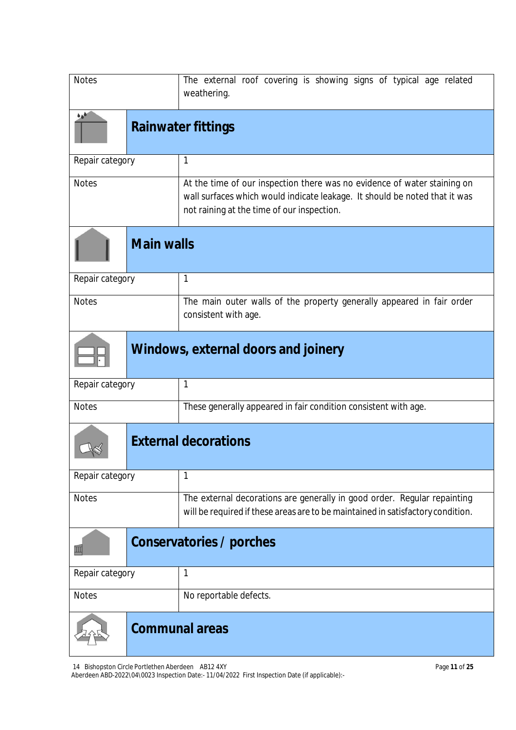| <b>Notes</b>                        |                           | The external roof covering is showing signs of typical age related<br>weathering.                                                                                                                    |
|-------------------------------------|---------------------------|------------------------------------------------------------------------------------------------------------------------------------------------------------------------------------------------------|
| فرة                                 | <b>Rainwater fittings</b> |                                                                                                                                                                                                      |
| Repair category                     |                           | $\mathbf 1$                                                                                                                                                                                          |
| <b>Notes</b>                        |                           | At the time of our inspection there was no evidence of water staining on<br>wall surfaces which would indicate leakage. It should be noted that it was<br>not raining at the time of our inspection. |
|                                     | <b>Main walls</b>         |                                                                                                                                                                                                      |
| Repair category                     |                           | 1                                                                                                                                                                                                    |
| <b>Notes</b>                        |                           | The main outer walls of the property generally appeared in fair order<br>consistent with age.                                                                                                        |
| Windows, external doors and joinery |                           |                                                                                                                                                                                                      |
| Repair category                     |                           | 1                                                                                                                                                                                                    |
| <b>Notes</b>                        |                           | These generally appeared in fair condition consistent with age.                                                                                                                                      |
|                                     |                           | <b>External decorations</b>                                                                                                                                                                          |
| Repair category                     |                           | 1                                                                                                                                                                                                    |
| <b>Notes</b>                        |                           | The external decorations are generally in good order. Regular repainting<br>will be required if these areas are to be maintained in satisfactory condition.                                          |
|                                     |                           | Conservatories / porches                                                                                                                                                                             |
| Repair category                     |                           | 1                                                                                                                                                                                                    |
| <b>Notes</b>                        |                           | No reportable defects.                                                                                                                                                                               |
|                                     |                           | <b>Communal areas</b>                                                                                                                                                                                |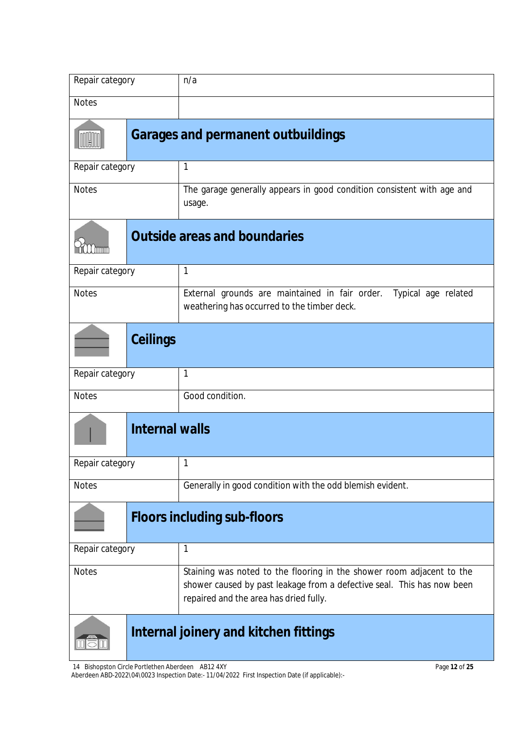| Repair category |                       | n/a                                                                                                                                                                                       |  |
|-----------------|-----------------------|-------------------------------------------------------------------------------------------------------------------------------------------------------------------------------------------|--|
| <b>Notes</b>    |                       |                                                                                                                                                                                           |  |
|                 |                       | <b>Garages and permanent outbuildings</b>                                                                                                                                                 |  |
| Repair category |                       | 1                                                                                                                                                                                         |  |
| <b>Notes</b>    |                       | The garage generally appears in good condition consistent with age and<br>usage.                                                                                                          |  |
| . mm            |                       | <b>Outside areas and boundaries</b>                                                                                                                                                       |  |
| Repair category |                       | $\mathbf{1}$                                                                                                                                                                              |  |
| <b>Notes</b>    |                       | External grounds are maintained in fair order. Typical age related<br>weathering has occurred to the timber deck.                                                                         |  |
|                 | <b>Ceilings</b>       |                                                                                                                                                                                           |  |
| Repair category |                       | $\mathbf 1$                                                                                                                                                                               |  |
| <b>Notes</b>    |                       | Good condition.                                                                                                                                                                           |  |
|                 | <b>Internal walls</b> |                                                                                                                                                                                           |  |
| Repair category |                       |                                                                                                                                                                                           |  |
| <b>Notes</b>    |                       | Generally in good condition with the odd blemish evident.                                                                                                                                 |  |
|                 |                       | <b>Floors including sub-floors</b>                                                                                                                                                        |  |
| Repair category |                       | 1                                                                                                                                                                                         |  |
| <b>Notes</b>    |                       | Staining was noted to the flooring in the shower room adjacent to the<br>shower caused by past leakage from a defective seal. This has now been<br>repaired and the area has dried fully. |  |
|                 |                       | Internal joinery and kitchen fittings                                                                                                                                                     |  |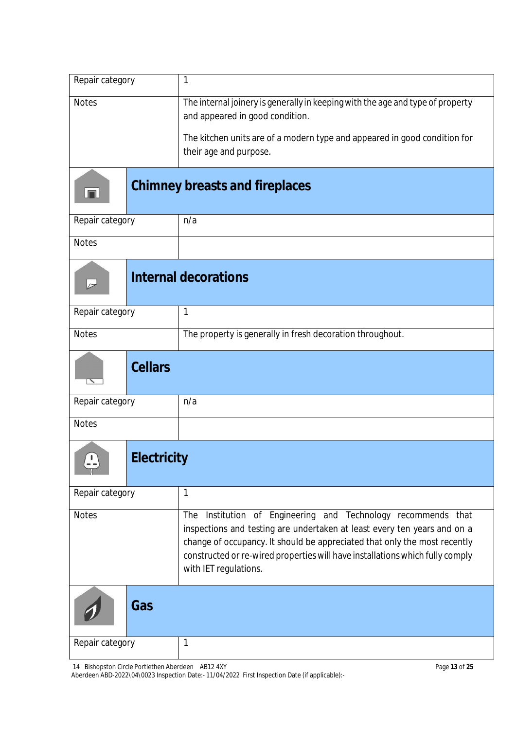| Repair category                    | $\mathbf{1}$                                                                                                                                                                                                                                                                                                                        |
|------------------------------------|-------------------------------------------------------------------------------------------------------------------------------------------------------------------------------------------------------------------------------------------------------------------------------------------------------------------------------------|
| <b>Notes</b>                       | The internal joinery is generally in keeping with the age and type of property<br>and appeared in good condition.                                                                                                                                                                                                                   |
|                                    | The kitchen units are of a modern type and appeared in good condition for<br>their age and purpose.                                                                                                                                                                                                                                 |
| لصا                                | <b>Chimney breasts and fireplaces</b>                                                                                                                                                                                                                                                                                               |
| Repair category                    | n/a                                                                                                                                                                                                                                                                                                                                 |
| <b>Notes</b>                       |                                                                                                                                                                                                                                                                                                                                     |
| $\overline{a}$                     | <b>Internal decorations</b>                                                                                                                                                                                                                                                                                                         |
| Repair category                    | $\mathbf{1}$                                                                                                                                                                                                                                                                                                                        |
| <b>Notes</b>                       | The property is generally in fresh decoration throughout.                                                                                                                                                                                                                                                                           |
| <b>Cellars</b>                     |                                                                                                                                                                                                                                                                                                                                     |
| Repair category                    | n/a                                                                                                                                                                                                                                                                                                                                 |
| <b>Notes</b>                       |                                                                                                                                                                                                                                                                                                                                     |
| <b>Electricity</b><br>$\mathbf{L}$ |                                                                                                                                                                                                                                                                                                                                     |
| Repair category                    | $\mathbf{1}$                                                                                                                                                                                                                                                                                                                        |
| <b>Notes</b>                       | Institution of Engineering and Technology recommends that<br>The<br>inspections and testing are undertaken at least every ten years and on a<br>change of occupancy. It should be appreciated that only the most recently<br>constructed or re-wired properties will have installations which fully comply<br>with IET regulations. |
| Gas                                |                                                                                                                                                                                                                                                                                                                                     |
| Repair category                    | 1                                                                                                                                                                                                                                                                                                                                   |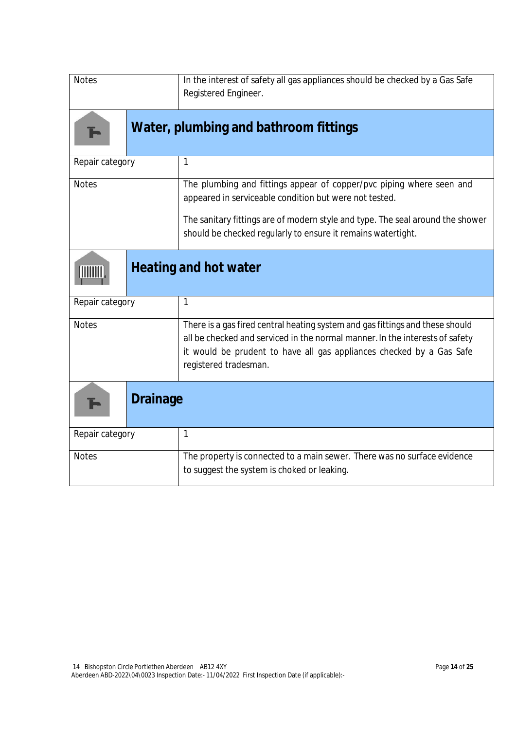| <b>Notes</b>    | In the interest of safety all gas appliances should be checked by a Gas Safe<br>Registered Engineer.                                                                                                                                                           |
|-----------------|----------------------------------------------------------------------------------------------------------------------------------------------------------------------------------------------------------------------------------------------------------------|
|                 | Water, plumbing and bathroom fittings                                                                                                                                                                                                                          |
| Repair category | $\mathbf{1}$                                                                                                                                                                                                                                                   |
| <b>Notes</b>    | The plumbing and fittings appear of copper/pvc piping where seen and<br>appeared in serviceable condition but were not tested.                                                                                                                                 |
|                 | The sanitary fittings are of modern style and type. The seal around the shower<br>should be checked regularly to ensure it remains watertight.                                                                                                                 |
|                 | <b>Heating and hot water</b>                                                                                                                                                                                                                                   |
| Repair category | $\mathbf{1}$                                                                                                                                                                                                                                                   |
| <b>Notes</b>    | There is a gas fired central heating system and gas fittings and these should<br>all be checked and serviced in the normal manner. In the interests of safety<br>it would be prudent to have all gas appliances checked by a Gas Safe<br>registered tradesman. |
| <b>Drainage</b> |                                                                                                                                                                                                                                                                |
| Repair category | $\mathbf{1}$                                                                                                                                                                                                                                                   |
| <b>Notes</b>    | The property is connected to a main sewer. There was no surface evidence<br>to suggest the system is choked or leaking.                                                                                                                                        |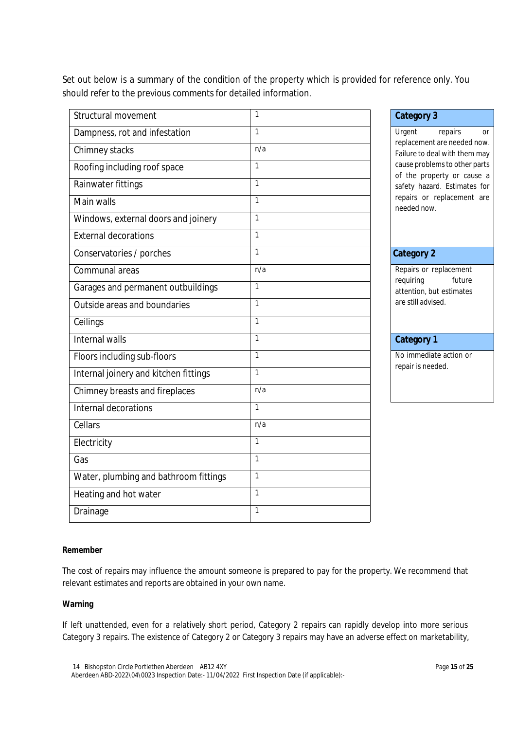Set out below is a summary of the condition of the property which is provided for reference only. You should refer to the previous comments for detailed information.

| Structural movement                   | 1            | <b>Category 3</b>                                                     |  |
|---------------------------------------|--------------|-----------------------------------------------------------------------|--|
| Dampness, rot and infestation         | 1            | Urgent<br>repairs<br><b>Or</b>                                        |  |
| Chimney stacks                        | n/a          | replacement are needed now<br>Failure to deal with them may           |  |
| Roofing including roof space          | $\mathbf{1}$ | cause problems to other parts<br>of the property or cause a           |  |
| Rainwater fittings                    | $\mathbf{1}$ | safety hazard. Estimates for                                          |  |
| Main walls                            | $\mathbf{1}$ | repairs or replacement are<br>needed now.                             |  |
| Windows, external doors and joinery   | $\mathbf{1}$ |                                                                       |  |
| <b>External decorations</b>           | 1            |                                                                       |  |
| Conservatories / porches              | 1            | <b>Category 2</b>                                                     |  |
| Communal areas                        | n/a          | Repairs or replacement                                                |  |
| Garages and permanent outbuildings    | 1            | requiring<br>future<br>attention, but estimates<br>are still advised. |  |
| Outside areas and boundaries          | 1            |                                                                       |  |
| Ceilings                              | 1            |                                                                       |  |
| Internal walls                        | 1            | <b>Category 1</b>                                                     |  |
| Floors including sub-floors           | 1            | No immediate action or                                                |  |
| Internal joinery and kitchen fittings | $\mathbf{1}$ | repair is needed.                                                     |  |
| Chimney breasts and fireplaces        | n/a          |                                                                       |  |
| Internal decorations                  | $\mathbf{1}$ |                                                                       |  |
| Cellars                               | n/a          |                                                                       |  |
| Electricity                           | $\mathbf{1}$ |                                                                       |  |
| Gas                                   | $\mathbf{1}$ |                                                                       |  |
| Water, plumbing and bathroom fittings | 1            |                                                                       |  |
| Heating and hot water                 | $\mathbf{1}$ |                                                                       |  |
| Drainage                              | 1            |                                                                       |  |

### **Category 2**

## **Category 1**

#### **Remember**

The cost of repairs may influence the amount someone is prepared to pay for the property. We recommend that relevant estimates and reports are obtained in your own name.

#### **Warning**

If left unattended, even for a relatively short period, Category 2 repairs can rapidly develop into more serious Category 3 repairs. The existence of Category 2 or Category 3 repairs may have an adverse effect on marketability,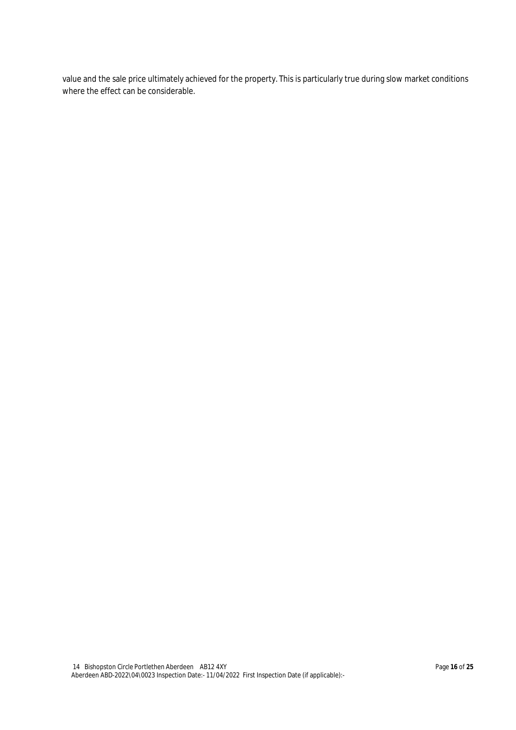value and the sale price ultimately achieved for the property. This is particularly true during slow market conditions where the effect can be considerable.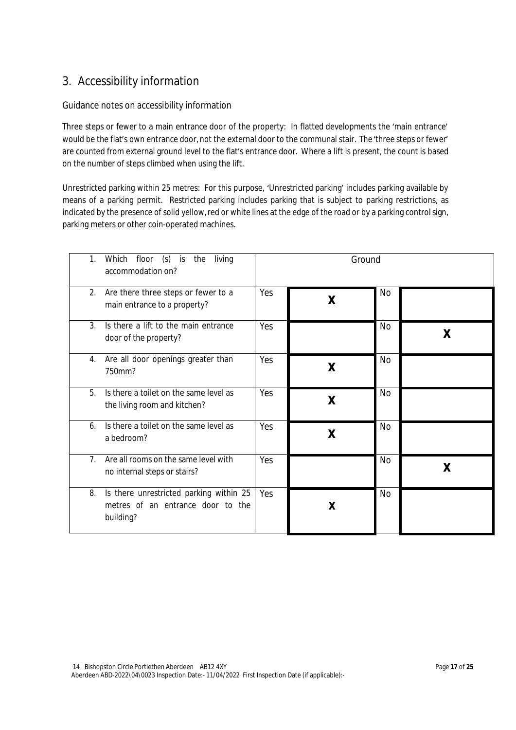## 3. Accessibility information

#### Guidance notes on accessibility information

Three steps or fewer to a main entrance door of the property: In flatted developments the 'main entrance' would be the flat's own entrance door, not the external door to the communal stair. The'three steps or fewer' are counted from external ground level to the flat's entrance door. Where a lift is present, the count is based on the number of steps climbed when using the lift.

Unrestricted parking within 25 metres: For this purpose, 'Unrestricted parking' includes parking available by means of a parking permit. Restricted parking includes parking that is subject to parking restrictions, as indicated by the presence of solid yellow, red or white lines at the edge of the road or by a parking control sign, parking meters or other coin-operated machines.

| 1.<br>Which      | floor (s) is<br>the<br>living<br>accommodation on?                           |     | Ground |           |   |
|------------------|------------------------------------------------------------------------------|-----|--------|-----------|---|
| 2.               | Are there three steps or fewer to a<br>main entrance to a property?          | Yes | X      | No        |   |
| 3.               | Is there a lift to the main entrance<br>door of the property?                | Yes |        | No        | X |
| 4.<br>750mm?     | Are all door openings greater than                                           | Yes | X      | <b>No</b> |   |
| 5.               | Is there a toilet on the same level as<br>the living room and kitchen?       | Yes | X      | <b>No</b> |   |
| 6.<br>a bedroom? | Is there a toilet on the same level as                                       | Yes | X      | <b>No</b> |   |
| 7 <sub>1</sub>   | Are all rooms on the same level with<br>no internal steps or stairs?         | Yes |        | <b>No</b> | χ |
| 8.<br>building?  | Is there unrestricted parking within 25<br>metres of an entrance door to the | Yes | X      | <b>No</b> |   |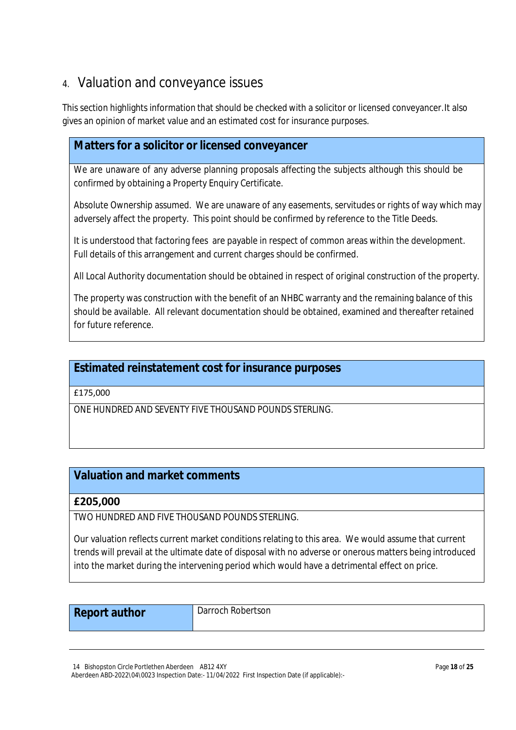## 4. Valuation and conveyance issues

This section highlights information that should be checked with a solicitor or licensed conveyancer.It also gives an opinion of market value and an estimated cost for insurance purposes.

## **Matters for a solicitor or licensed conveyancer**

We are unaware of any adverse planning proposals affecting the subjects although this should be confirmed by obtaining a Property Enquiry Certificate.

Absolute Ownership assumed. We are unaware of any easements, servitudes or rights of way which may adversely affect the property. This point should be confirmed by reference to the Title Deeds.

It is understood that factoring fees are payable in respect of common areas within the development. Full details of this arrangement and current charges should be confirmed.

All Local Authority documentation should be obtained in respect of original construction of the property.

The property was construction with the benefit of an NHBC warranty and the remaining balance of this should be available. All relevant documentation should be obtained, examined and thereafter retained for future reference.

## **Estimated reinstatement cost for insurance purposes**

£175,000

ONE HUNDRED AND SEVENTY FIVE THOUSAND POUNDS STERLING.

## **Valuation and market comments**

## **£205,000**

TWO HUNDRED AND FIVE THOUSAND POUNDS STERLING.

Our valuation reflects current market conditions relating to this area. We would assume that current trends will prevail at the ultimate date of disposal with no adverse or onerous matters being introduced into the market during the intervening period which would have a detrimental effect on price.

| <b>Report author</b> | Darroch Robertson |
|----------------------|-------------------|
|----------------------|-------------------|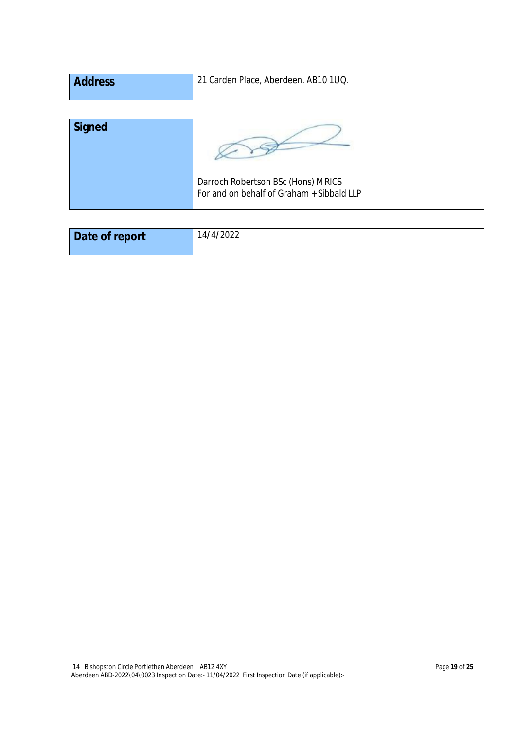| <b>Address</b> | 21 Carden Place, Aberdeen. AB10 1UQ. |
|----------------|--------------------------------------|
|                |                                      |

| <b>Signed</b> |                                                                                 |
|---------------|---------------------------------------------------------------------------------|
|               | Darroch Robertson BSc (Hons) MRICS<br>For and on behalf of Graham + Sibbald LLP |

| Date of report | 14/4/2022 |
|----------------|-----------|
|                |           |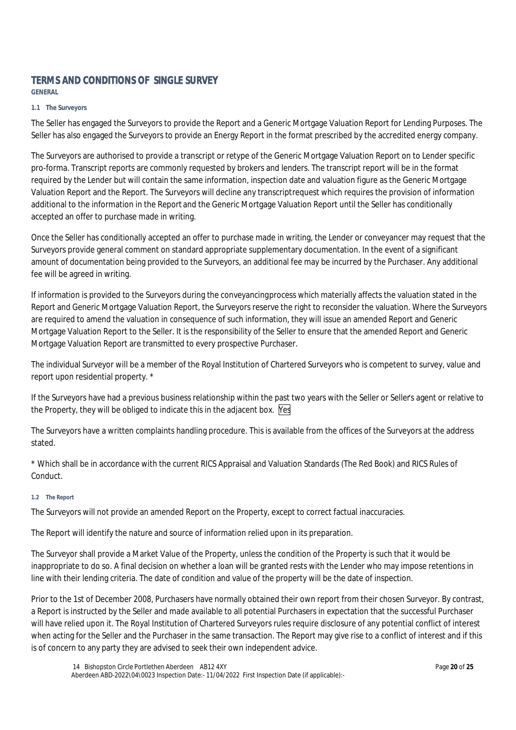## **TERMS AND CONDITIONS OF SINGLE SURVEY**

**GENERAL**

#### **1.1 The Surveyors**

The Seller has engaged the Surveyors to provide the Report and a Generic Mortgage Valuation Report for Lending Purposes. The Seller has also engaged the Surveyors to provide an Energy Report in the format prescribed by the accredited energy company.

The Surveyors are authorised to provide a transcript or retype of the Generic Mortgage Valuation Report on to Lender specific pro-forma. Transcript reports are commonly requested by brokers and lenders. The transcript report will be in the format required by the Lender but will contain the same information, inspection date and valuation figure as the Generic Mortgage Valuation Report and the Report. The Surveyors will decline any transcript request which requires the provision of information additional to the information in the Report and the Generic Mortgage Valuation Report until the Seller has conditionally accepted an offer to purchase made in writing.

Once the Seller has conditionally accepted an offer to purchase made in writing, the Lender or conveyancer may request that the Surveyors provide general comment on standard appropriate supplementary documentation. In the event of a significant amount of documentation being provided to the Surveyors, an additional fee may be incurred by the Purchaser. Any additional fee will be agreed in writing.

If information is provided to the Surveyors during the conveyancing process which materially affects the valuation stated in the Report and Generic Mortgage Valuation Report, the Surveyors reserve the right to reconsider the valuation. Where the Surveyors are required to amend the valuation in consequence of such information, they will issue an amended Report and Generic Mortgage Valuation Report to the Seller. It is the responsibility of the Seller to ensure that the amended Report and Generic Mortgage Valuation Report are transmitted to every prospective Purchaser.

The individual Surveyor will be a member of the Royal Institution of Chartered Surveyors who is competent to survey, value and report upon residential property. \*

If the Surveyors have had a previous business relationship within the past two years with the Seller or Seller's agent or relative to the Property, they will be obliged to indicate this in the adjacent box. Yes

The Surveyors have a written complaints handling procedure. This is available from the offices of the Surveyors at the address stated.

\* Which shall be in accordance with the current RICS Appraisal and Valuation Standards (The Red Book) and RICS Rules of Conduct.

#### **1.2 The Report**

The Surveyors will not provide an amended Report on the Property, except to correct factual inaccuracies.

The Report will identify the nature and source of information relied upon in its preparation.

The Surveyor shall provide a Market Value of the Property, unless the condition of the Property is such that it would be inappropriate to do so. A final decision on whether a loan will be granted rests with the Lender who may impose retentions in line with their lending criteria. The date of condition and value of the property will be the date of inspection.

Prior to the 1st of December 2008, Purchasers have normally obtained their own report from their chosen Surveyor. By contrast, a Report is instructed by the Seller and made available to all potential Purchasers in expectation that the successful Purchaser will have relied upon it. The Royal Institution of Chartered Surveyors rules require disclosure of any potential conflict of interest when acting for the Seller and the Purchaser in the same transaction. The Report may give rise to a conflict of interest and if this is of concern to any party they are advised to seek their own independent advice.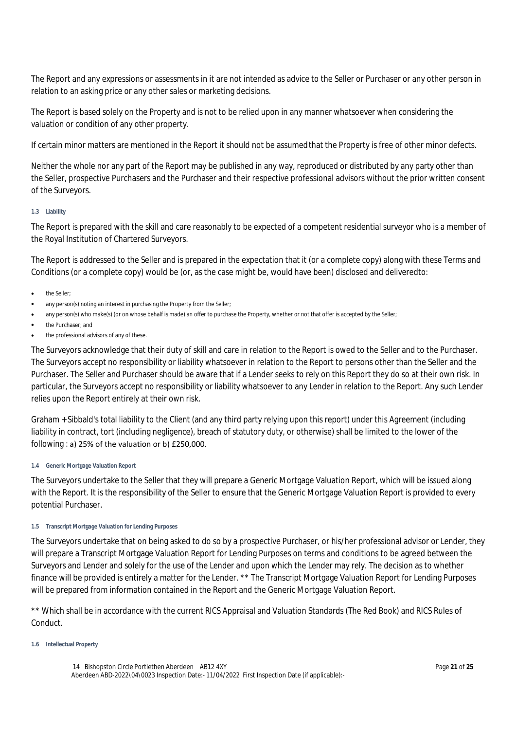The Report and any expressions or assessments in it are not intended as advice to the Seller or Purchaser or any other person in relation to an asking price or any other sales or marketing decisions.

The Report is based solely on the Property and is not to be relied upon in any manner whatsoever when considering the valuation or condition of any other property.

If certain minor matters are mentioned in the Report it should not be assumed that the Property is free of other minor defects.

Neither the whole nor any part of the Report may be published in any way, reproduced or distributed by any party other than the Seller, prospective Purchasers and the Purchaser and their respective professional advisors without the prior written consent of the Surveyors.

#### **1.3 Liability**

The Report is prepared with the skill and care reasonably to be expected of a competent residential surveyor who is a member of the Royal Institution of Chartered Surveyors.

The Report is addressed to the Seller and is prepared in the expectation that it (or a complete copy) along with these Terms and Conditions (or a complete copy) would be (or, as the case might be, would have been) disclosed and delivered to:

- the Seller;
- any person(s) noting an interest in purchasing the Property from the Seller;
- any person(s) who make(s) (or on whose behalf is made) an offer to purchase the Property, whether or not that offer is accepted by the Seller;
- the Purchaser; and
- the professional advisors of any of these.

The Surveyors acknowledge that their duty of skill and care in relation to the Report is owed to the Seller and to the Purchaser. The Surveyors accept no responsibility or liability whatsoever in relation to the Report to persons other than the Seller and the Purchaser. The Seller and Purchaser should be aware that if a Lender seeks to rely on this Report they do so at their own risk. In particular, the Surveyors accept no responsibility or liability whatsoever to any Lender in relation to the Report. Any such Lender relies upon the Report entirely at their own risk.

Graham + Sibbald's total liability to the Client (and any third party relying upon this report) under this Agreement (including liability in contract, tort (including negligence), breach of statutory duty, or otherwise) shall be limited to the lower of the following : a) 25% of the valuation or b) £250,000.

#### **1.4 Generic Mortgage Valuation Report**

The Surveyors undertake to the Seller that they will prepare a Generic Mortgage Valuation Report, which will be issued along with the Report. It is the responsibility of the Seller to ensure that the Generic Mortgage Valuation Report is provided to every potential Purchaser.

#### **1.5 Transcript Mortgage Valuation for Lending Purposes**

The Surveyors undertake that on being asked to do so by a prospective Purchaser, or his/her professional advisor or Lender, they will prepare a Transcript Mortgage Valuation Report for Lending Purposes on terms and conditions to be agreed between the Surveyors and Lender and solely for the use of the Lender and upon which the Lender may rely. The decision as to whether finance will be provided is entirely a matter for the Lender. \*\* The Transcript Mortgage Valuation Report for Lending Purposes will be prepared from information contained in the Report and the Generic Mortgage Valuation Report.

\*\* Which shall be in accordance with the current RICS Appraisal and Valuation Standards (The Red Book) and RICS Rules of Conduct.

#### **1.6 Intellectual Property**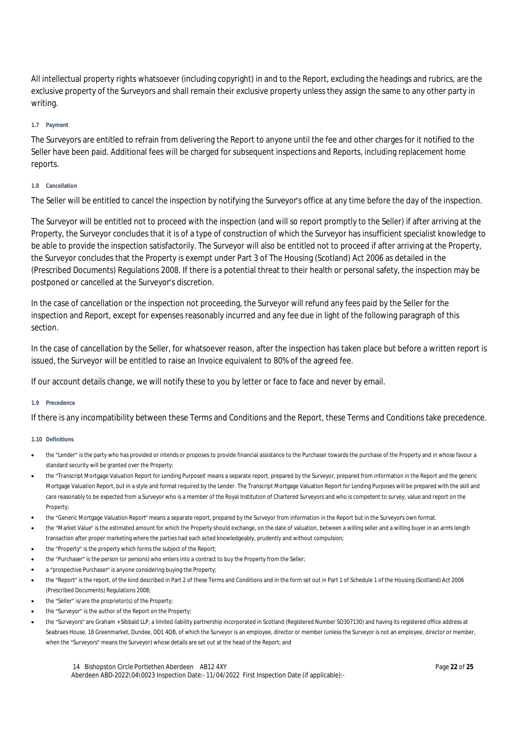All intellectual property rights whatsoever (including copyright) in and to the Report, excluding the headings and rubrics, are the exclusive property of the Surveyors and shall remain their exclusive property unless they assign the same to any other party in writing.

#### **1.7 Payment**

The Surveyors are entitled to refrain from delivering the Report to anyone until the fee and other charges for it notified to the Seller have been paid. Additional fees will be charged for subsequent inspections and Reports, including replacement home reports.

#### **1.8 Cancellation**

The Seller will be entitled to cancel the inspection by notifying the Surveyor's office at any time before the day of the inspection.

The Surveyor will be entitled not to proceed with the inspection (and will so report promptly to the Seller) if after arriving at the Property, the Surveyor concludes that it is of a type of construction of which the Surveyor has insufficient specialist knowledge to be able to provide the inspection satisfactorily. The Surveyor will also be entitled not to proceed if after arriving at the Property, the Surveyor concludes that the Property is exempt under Part 3 of The Housing (Scotland) Act 2006 as detailed in the (Prescribed Documents) Regulations 2008. If there is a potential threat to their health or personal safety, the inspection may be postponed or cancelled at the Surveyor's discretion.

In the case of cancellation or the inspection not proceeding, the Surveyor will refund any fees paid by the Seller for the inspection and Report, except for expenses reasonably incurred and any fee due in light of the following paragraph of this section.

In the case of cancellation by the Seller, for whatsoever reason, after the inspection has taken place but before a written report is issued, the Surveyor will be entitled to raise an Invoice equivalent to 80% of the agreed fee.

If our account details change, we will notify these to you by letter or face to face and never by email.

#### **1.9 Precedence**

If there is any incompatibility between these Terms and Conditions and the Report, these Terms and Conditions take precedence.

#### **1.10 Definitions**

- the "Lender" is the party who has provided or intends or proposes to provide financial assistance to the Purchaser towards the purchase of the Property and in whose favour a standard security will be granted over the Property;
- the "Transcript Mortgage Valuation Report for Lending Purposes" means a separate report, prepared by the Surveyor, prepared from information in the Report and the generic Mortgage Valuation Report, but in a style and format required by the Lender. The Transcript Mortgage Valuation Report for Lending Purposes will be prepared with the skill and care reasonably to be expected from a Surveyor who is a member of the Royal Institution of Chartered Surveyors and who is competent to survey, value and report on the Property;
- the "Generic Mortgage Valuation Report" means a separate report, prepared by the Surveyor from information in the Report but in the Surveyor's own format.
- the "Market Value" is the estimated amount for which the Property should exchange, on the date of valuation, between a willing seller and a willing buyer in an arm's length transaction after proper marketing where the parties had each acted knowledgeably, prudently and without compulsion;
- the "Property" is the property which forms the subject of the Report;
- the "Purchaser" is the person (or persons) who enters into a contract to buy the Property from the Seller;
- a "prospective Purchaser" is anyone considering buying the Property;
- the "Report" is the report, of the kind described in Part 2 of these Terms and Conditions and in the form set out in Part 1 of Schedule 1 of the Housing (Scotland) Act 2006 (Prescribed Documents) Regulations 2008;
- the "Seller" is/are the proprietor(s) of the Property;
- the "Surveyor" is the author of the Report on the Property;
- the "Surveyors" are Graham + SIbbald LLP, a limited liability partnership incorporated in Scotland (Registered Number SO307130) and having its registered office address at Seabraes House, 18 Greenmarket, Dundee, DD1 4QB, of which the Surveyor is an employee, director or member (unless the Surveyor is not an employee, director or member, when the "Surveyors" means the Surveyor) whose details are set out at the head of the Report; and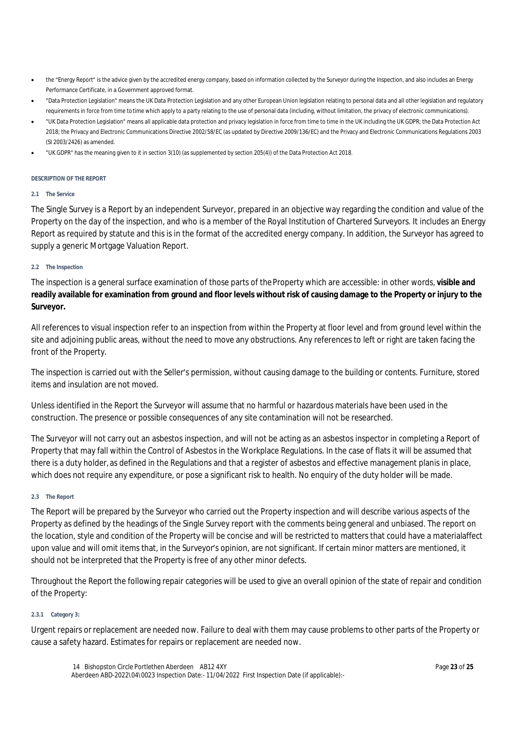- the "Energy Report" is the advice given by the accredited energy company, based on information collected by the Surveyor during the Inspection, and also includes an Energy Performance Certificate, in a Government approved format.
- "Data Protection Legislation" means the UK Data Protection Legislation and any other European Union legislation relating to personal data and all other legislation and regulatory requirements in force from time to time which apply to a party relating to the use of personal data (including, without limitation, the privacy of electronic communications).
- "UK Data Protection Legislation" means all applicable data protection and privacy legislation in force from time to time in the UK including the UK GDPR; the Data Protection Act 2018; the Privacy and Electronic Communications Directive 2002/58/EC (as updated by Directive 2009/136/EC) and the Privacy and Electronic Communications Regulations 2003 (SI 2003/2426) as amended.
- "UK GDPR" has the meaning given to it in section 3(10) (as supplemented by section 205(4)) of the Data Protection Act 2018.

#### **DESCRIPTION OF THE REPORT**

#### **2.1 The Service**

The Single Survey is a Report by an independent Surveyor, prepared in an objective way regarding the condition and value of the Property on the day of the inspection, and who is a member of the Royal Institution of Chartered Surveyors. It includes an Energy Report as required by statute and this is in the format of the accredited energy company. In addition, the Surveyor has agreed to supply a generic Mortgage Valuation Report.

#### **2.2 The Inspection**

The inspection is a general surface examination of those parts of the Property which are accessible: in other words, **visible and readily available for examination from ground and floor levels without risk of causing damage to the Property or injury to the Surveyor.**

All references to visual inspection refer to an inspection from within the Property at floor level and from ground level within the site and adjoining public areas, without the need to move any obstructions. Any references to left or right are taken facing the front of the Property.

The inspection is carried out with the Seller's permission, without causing damage to the building or contents. Furniture, stored items and insulation are not moved.

Unless identified in the Report the Surveyor will assume that no harmful or hazardous materials have been used in the construction. The presence or possible consequences of any site contamination will not be researched.

The Surveyor will not carry out an asbestos inspection, and will not be acting as an asbestos inspector in completing a Report of Property that may fall within the Control of Asbestos in the Workplace Regulations. In the case of flats it will be assumed that there is a duty holder, as defined in the Regulations and that a register of asbestos and effective management planis in place, which does not require any expenditure, or pose a significant risk to health. No enquiry of the duty holder will be made.

#### **2.3 The Report**

The Report will be prepared by the Surveyor who carried out the Property inspection and will describe various aspects of the Property as defined by the headings of the Single Survey report with the comments being general and unbiased. The report on the location, style and condition of the Property will be concise and will be restricted to matters that could have a material affect upon value and will omit items that, in the Surveyor's opinion, are not significant. If certain minor matters are mentioned, it should not be interpreted that the Property is free of any other minor defects.

Throughout the Report the following repair categories will be used to give an overall opinion of the state of repair and condition of the Property:

#### **2.3.1 Category 3:**

Urgent repairs or replacement are needed now. Failure to deal with them may cause problems to other parts of the Property or cause a safety hazard. Estimates for repairs or replacement are needed now.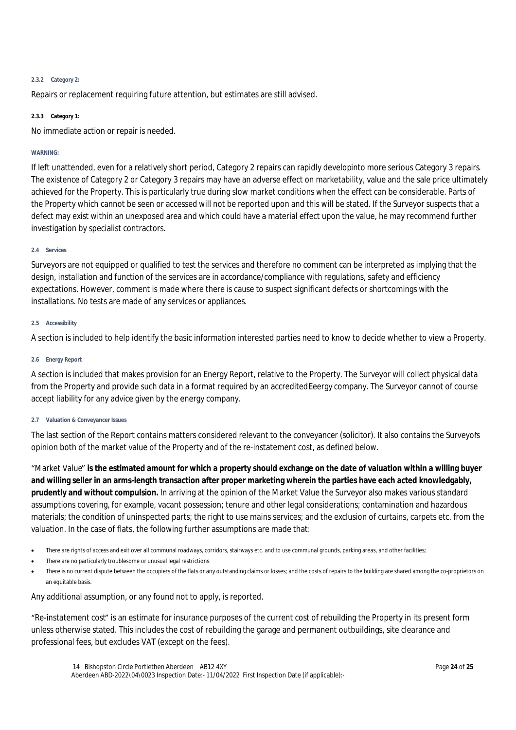#### **2.3.2 Category 2:**

Repairs or replacement requiring future attention, but estimates are still advised.

#### **2.3.3 Category 1:**

No immediate action or repair is needed.

#### **WARNING:**

If left unattended, even for a relatively short period, Category 2 repairs can rapidly developinto more serious Category 3 repairs. The existence of Category 2 or Category 3 repairs may have an adverse effect on marketability, value and the sale price ultimately achieved for the Property. This is particularly true during slow market conditions when the effect can be considerable. Parts of the Property which cannot be seen or accessed will not be reported upon and this will be stated. If the Surveyor suspects that a defect may exist within an unexposed area and which could have a material effect upon the value, he may recommend further investigation by specialist contractors.

#### **2.4 Services**

Surveyors are not equipped or qualified to test the services and therefore no comment can be interpreted as implying that the design, installation and function of the services are in accordance/compliance with regulations, safety and efficiency expectations. However, comment is made where there is cause to suspect significant defects or shortcomings with the installations. No tests are made of any services or appliances.

#### **2.5 Accessibility**

A section is included to help identify the basic information interested parties need to know to decide whether to view a Property.

#### **2.6 Energy Report**

A section is included that makes provision for an Energy Report, relative to the Property. The Surveyor will collect physical data from the Property and provide such data in a format required by an accredited Eeergy company. The Surveyor cannot of course accept liability for any advice given by the energy company.

#### **2.7 Valuation & Conveyancer Issues**

The last section of the Report contains matters considered relevant to the conveyancer (solicitor). It also contains the Surveyor's opinion both of the market value of the Property and of the re-instatement cost, as defined below.

"Market Value" **is the estimated amount for which a property should exchange on the date of valuation within a willing buyer and willing seller in an arms-length transaction after proper marketing wherein the parties have each acted knowledgably, prudently and without compulsion.** In arriving at the opinion of the Market Value the Surveyor also makes various standard assumptions covering, for example, vacant possession; tenure and other legal considerations; contamination and hazardous materials; the condition of uninspected parts; the right to use mains services; and the exclusion of curtains, carpets etc. from the valuation. In the case of flats, the following further assumptions are made that:

- There are rights of access and exit over all communal roadways, corridors, stairways etc. and to use communal grounds, parking areas, and other facilities;
- There are no particularly troublesome or unusual legal restrictions.
- There is no current dispute between the occupiers of the flats or any outstanding claims or losses; and the costs of repairs to the building are shared among the co-proprietors on an equitable basis.

Any additional assumption, or any found not to apply, is reported.

"Re-instatement cost" is an estimate for insurance purposes of the current cost of rebuilding the Property in its present form unless otherwise stated. This includes the cost of rebuilding the garage and permanent outbuildings, site clearance and professional fees, but excludes VAT (except on the fees).